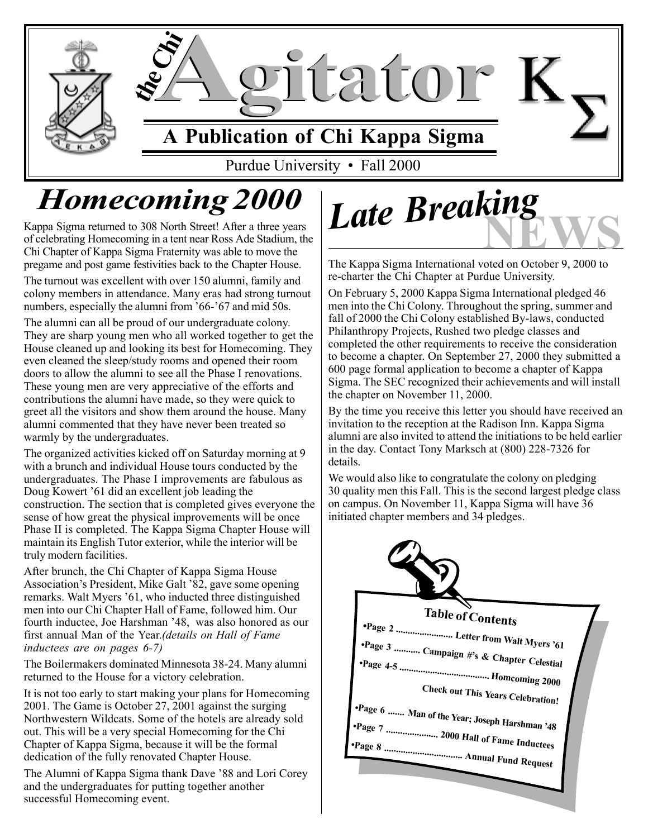

# *Homecoming 2000*

Kappa Sigma returned to 308 North Street! After a three years of celebrating Homecoming in a tent near Ross Ade Stadium, the Chi Chapter of Kappa Sigma Fraternity was able to move the pregame and post game festivities back to the Chapter House.

The turnout was excellent with over 150 alumni, family and colony members in attendance. Many eras had strong turnout numbers, especially the alumni from '66-'67 and mid 50s.

The alumni can all be proud of our undergraduate colony. They are sharp young men who all worked together to get the House cleaned up and looking its best for Homecoming. They even cleaned the sleep/study rooms and opened their room doors to allow the alumni to see all the Phase I renovations. These young men are very appreciative of the efforts and contributions the alumni have made, so they were quick to greet all the visitors and show them around the house. Many alumni commented that they have never been treated so warmly by the undergraduates.

The organized activities kicked off on Saturday morning at 9 with a brunch and individual House tours conducted by the undergraduates. The Phase I improvements are fabulous as Doug Kowert '61 did an excellent job leading the construction. The section that is completed gives everyone the sense of how great the physical improvements will be once Phase II is completed. The Kappa Sigma Chapter House will maintain its English Tutor exterior, while the interior will be truly modern facilities.

After brunch, the Chi Chapter of Kappa Sigma House Association's President, Mike Galt '82, gave some opening remarks. Walt Myers '61, who inducted three distinguished men into our Chi Chapter Hall of Fame, followed him. Our fourth inductee, Joe Harshman '48, was also honored as our first annual Man of the Year.*(details on Hall of Fame inductees are on pages 6-7)*

The Boilermakers dominated Minnesota 38-24. Many alumni returned to the House for a victory celebration.

It is not too early to start making your plans for Homecoming 2001. The Game is October 27, 2001 against the surging Northwestern Wildcats. Some of the hotels are already sold out. This will be a very special Homecoming for the Chi Chapter of Kappa Sigma, because it will be the formal dedication of the fully renovated Chapter House.

The Alumni of Kappa Sigma thank Dave '88 and Lori Corey and the undergraduates for putting together another successful Homecoming event.

**Late Breaking** 

The Kappa Sigma International voted on October 9, 2000 to re-charter the Chi Chapter at Purdue University.

On February 5, 2000 Kappa Sigma International pledged 46 men into the Chi Colony. Throughout the spring, summer and fall of 2000 the Chi Colony established By-laws, conducted Philanthropy Projects, Rushed two pledge classes and completed the other requirements to receive the consideration to become a chapter. On September 27, 2000 they submitted a 600 page formal application to become a chapter of Kappa Sigma. The SEC recognized their achievements and will install the chapter on November 11, 2000.

By the time you receive this letter you should have received an invitation to the reception at the Radison Inn. Kappa Sigma alumni are also invited to attend the initiations to be held earlier in the day. Contact Tony Marksch at (800) 228-7326 for details.

We would also like to congratulate the colony on pledging 30 quality men this Fall. This is the second largest pledge class on campus. On November 11, Kappa Sigma will have 36 initiated chapter members and 34 pledges.

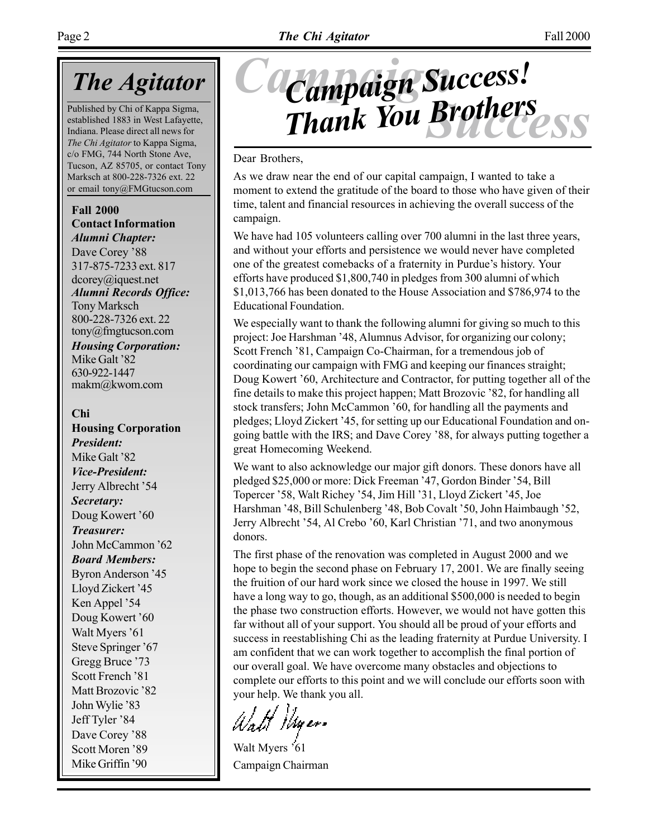## *The Agitator*

Published by Chi of Kappa Sigma, established 1883 in West Lafayette, Indiana. Please direct all news for *The Chi Agitator* to Kappa Sigma, c/o FMG, 744 North Stone Ave, Tucson, AZ 85705, or contact Tony Marksch at 800-228-7326 ext. 22 or email tony@FMGtucson.com

**Fall 2000 Contact Information** *Alumni Chapter:*

Dave Corey '88 317-875-7233 ext. 817 dcorey@iquest.net *Alumni Records Office:* Tony Marksch 800-228-7326 ext. 22 tony@fmgtucson.com

*Housing Corporation:* Mike Galt '82 630-922-1447 makm@kwom.com

### **Chi**

**Housing Corporation** *President:* Mike Galt '82 *Vice-President:* Jerry Albrecht '54 *Secretary:* Doug Kowert '60 *Treasurer:* John McCammon '62 *Board Members:* Byron Anderson '45 Lloyd Zickert '45 Ken Appel '54 Doug Kowert '60 Walt Myers '61 Steve Springer '67 Gregg Bruce '73 Scott French '81 Matt Brozovic '82 John Wylie '83 Jeff Tyler '84 Dave Corey '88 Scott Moren '89 Mike Griffin '90

# *Success Thank You BrothersCampaign Campaign Success!*

### Dear Brothers,

As we draw near the end of our capital campaign, I wanted to take a moment to extend the gratitude of the board to those who have given of their time, talent and financial resources in achieving the overall success of the campaign.

We have had 105 volunteers calling over 700 alumni in the last three years, and without your efforts and persistence we would never have completed one of the greatest comebacks of a fraternity in Purdue's history. Your efforts have produced \$1,800,740 in pledges from 300 alumni of which \$1,013,766 has been donated to the House Association and \$786,974 to the Educational Foundation.

We especially want to thank the following alumni for giving so much to this project: Joe Harshman '48, Alumnus Advisor, for organizing our colony; Scott French '81, Campaign Co-Chairman, for a tremendous job of coordinating our campaign with FMG and keeping our finances straight; Doug Kowert '60, Architecture and Contractor, for putting together all of the fine details to make this project happen; Matt Brozovic '82, for handling all stock transfers; John McCammon '60, for handling all the payments and pledges; Lloyd Zickert '45, for setting up our Educational Foundation and ongoing battle with the IRS; and Dave Corey '88, for always putting together a great Homecoming Weekend.

We want to also acknowledge our major gift donors. These donors have all pledged \$25,000 or more: Dick Freeman '47, Gordon Binder '54, Bill Topercer '58, Walt Richey '54, Jim Hill '31, Lloyd Zickert '45, Joe Harshman '48, Bill Schulenberg '48, Bob Covalt '50, John Haimbaugh '52, Jerry Albrecht '54, Al Crebo '60, Karl Christian '71, and two anonymous donors.

The first phase of the renovation was completed in August 2000 and we hope to begin the second phase on February 17, 2001. We are finally seeing the fruition of our hard work since we closed the house in 1997. We still have a long way to go, though, as an additional \$500,000 is needed to begin the phase two construction efforts. However, we would not have gotten this far without all of your support. You should all be proud of your efforts and success in reestablishing Chi as the leading fraternity at Purdue University. I am confident that we can work together to accomplish the final portion of our overall goal. We have overcome many obstacles and objections to complete our efforts to this point and we will conclude our efforts soon with your help. We thank you all.

Watt Myer.

Walt Myers '61 Campaign Chairman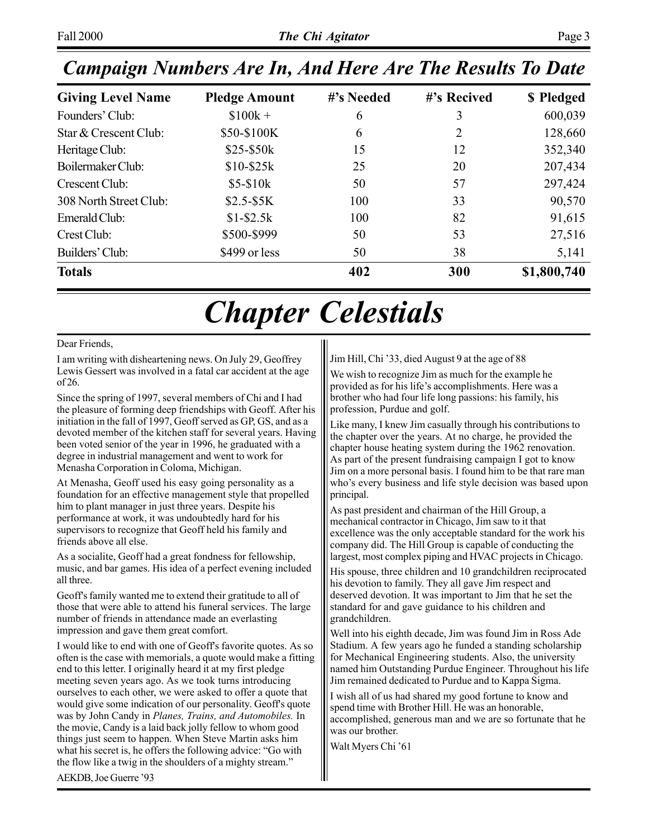| <b>Giving Level Name</b> | <b>Pledge Amount</b> | #'s Needed | #'s Recived | \$ Pledged  |
|--------------------------|----------------------|------------|-------------|-------------|
| Founders' Club:          | $$100k +$            | 6          | 3           | 600,039     |
| Star & Crescent Club:    | \$50-\$100K          | 6          | 2           | 128,660     |
| Heritage Club:           | $$25-\$50k$          | 15         | 12          | 352,340     |
| Boilermaker Club:        | $$10-$25k$           | 25         | 20          | 207,434     |
| Crescent Club:           | $$5-$10k$            | 50         | 57          | 297,424     |
| 308 North Street Club:   | $$2.5-$5K$           | 100        | 33          | 90,570      |
| Emerald Club:            | $$1 - $2.5k$         | 100        | 82          | 91,615      |
| Crest Club:              | \$500-\$999          | 50         | 53          | 27,516      |
| Builders' Club:          | \$499 or less        | 50         | 38          | 5,141       |
| <b>Totals</b>            |                      | 402        | 300         | \$1,800,740 |

# *Chapter Celestials*

#### Dear Friends,

I am writing with disheartening news. On July 29, Geoffrey Lewis Gessert was involved in a fatal car accident at the age of 26.

Since the spring of 1997, several members of Chi and I had the pleasure of forming deep friendships with Geoff. After his initiation in the fall of 1997, Geoff served as GP, GS, and as a devoted member of the kitchen staff for several years. Having been voted senior of the year in 1996, he graduated with a degree in industrial management and went to work for Menasha Corporation in Coloma, Michigan.

At Menasha, Geoff used his easy going personality as a foundation for an effective management style that propelled him to plant manager in just three years. Despite his performance at work, it was undoubtedly hard for his supervisors to recognize that Geoff held his family and friends above all else.

As a socialite, Geoff had a great fondness for fellowship, music, and bar games. His idea of a perfect evening included all three.

Geoff's family wanted me to extend their gratitude to all of those that were able to attend his funeral services. The large number of friends in attendance made an everlasting impression and gave them great comfort.

I would like to end with one of Geoff's favorite quotes. As so often is the case with memorials, a quote would make a fitting end to this letter. I originally heard it at my first pledge meeting seven years ago. As we took turns introducing ourselves to each other, we were asked to offer a quote that would give some indication of our personality. Geoff's quote was by John Candy in *Planes, Trains, and Automobiles.* In the movie, Candy is a laid back jolly fellow to whom good things just seem to happen. When Steve Martin asks him what his secret is, he offers the following advice: "Go with the flow like a twig in the shoulders of a mighty stream."

Jim Hill, Chi '33, died August 9 at the age of 88

We wish to recognize Jim as much for the example he provided as for his life's accomplishments. Here was a brother who had four life long passions: his family, his profession, Purdue and golf.

Like many, I knew Jim casually through his contributions to the chapter over the years. At no charge, he provided the chapter house heating system during the 1962 renovation. As part of the present fundraising campaign I got to know Jim on a more personal basis. I found him to be that rare man who's every business and life style decision was based upon principal.

As past president and chairman of the Hill Group, a mechanical contractor in Chicago, Jim saw to it that excellence was the only acceptable standard for the work his company did. The Hill Group is capable of conducting the largest, most complex piping and HVAC projects in Chicago.

His spouse, three children and 10 grandchildren reciprocated his devotion to family. They all gave Jim respect and deserved devotion. It was important to Jim that he set the standard for and gave guidance to his children and grandchildren.

Well into his eighth decade, Jim was found Jim in Ross Ade Stadium. A few years ago he funded a standing scholarship for Mechanical Engineering students. Also, the university named him Outstanding Purdue Engineer. Throughout his life Jim remained dedicated to Purdue and to Kappa Sigma.

I wish all of us had shared my good fortune to know and spend time with Brother Hill. He was an honorable, accomplished, generous man and we are so fortunate that he was our brother.

Walt Myers Chi '61

AEKDB, Joe Guerre '93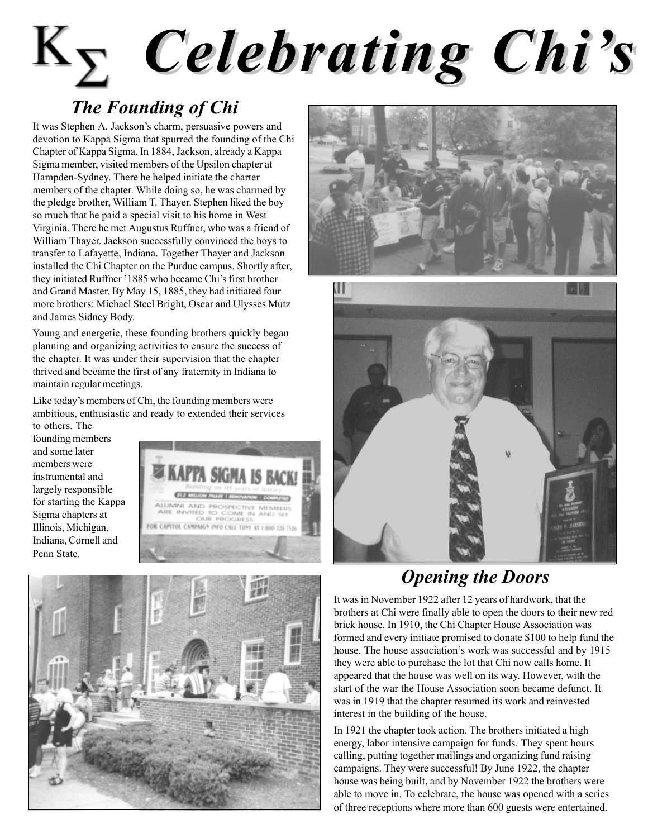# Page 4 *The Chi Agitator* Fall 2000 *Celebrating Chiís Celebrating Chiís*

## *The Founding of Chi*

It was Stephen A. Jackson's charm, persuasive powers and devotion to Kappa Sigma that spurred the founding of the Chi Chapter of Kappa Sigma. In 1884, Jackson, already a Kappa Sigma member, visited members of the Upsilon chapter at Hampden-Sydney. There he helped initiate the charter members of the chapter. While doing so, he was charmed by the pledge brother, William T. Thayer. Stephen liked the boy so much that he paid a special visit to his home in West Virginia. There he met Augustus Ruffner, who was a friend of William Thayer. Jackson successfully convinced the boys to transfer to Lafayette, Indiana. Together Thayer and Jackson installed the Chi Chapter on the Purdue campus. Shortly after, they initiated Ruffner '1885 who became Chi's first brother and Grand Master. By May 15, 1885, they had initiated four more brothers: Michael Steel Bright, Oscar and Ulysses Mutz and James Sidney Body.

Young and energetic, these founding brothers quickly began planning and organizing activities to ensure the success of the chapter. It was under their supervision that the chapter thrived and became the first of any fraternity in Indiana to maintain regular meetings.

Like today's members of Chi, the founding members were ambitious, enthusiastic and ready to extended their services

to others. The founding members and some later members were instrumental and largely responsible for starting the Kappa Sigma chapters at Illinois, Michigan, Indiana, Cornell and Penn State.







## *Opening the Doors*

It was in November 1922 after 12 years of hardwork, that the brothers at Chi were finally able to open the doors to their new red brick house. In 1910, the Chi Chapter House Association was formed and every initiate promised to donate \$100 to help fund the house. The house association's work was successful and by 1915 they were able to purchase the lot that Chi now calls home. It appeared that the house was well on its way. However, with the start of the war the House Association soon became defunct. It was in 1919 that the chapter resumed its work and reinvested interest in the building of the house.

In 1921 the chapter took action. The brothers initiated a high energy, labor intensive campaign for funds. They spent hours calling, putting together mailings and organizing fund raising campaigns. They were successful! By June 1922, the chapter house was being built, and by November 1922 the brothers were able to move in. To celebrate, the house was opened with a series of three receptions where more than 600 guests were entertained.

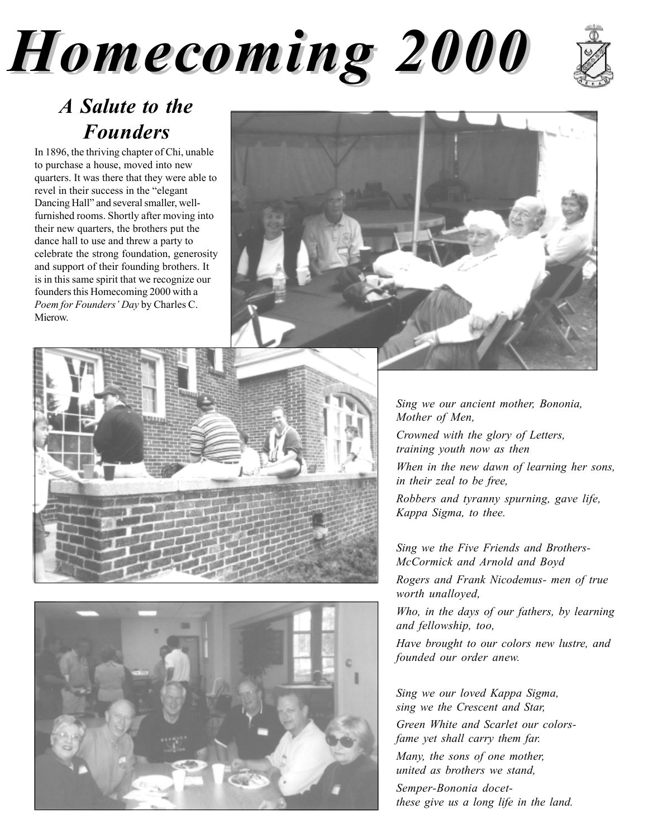# Fall 2000 *The Chi Agitator* Page 5 *Homecoming 2000 Homecoming 2000*



## *A Salute to the Founders*

In 1896, the thriving chapter of Chi, unable to purchase a house, moved into new quarters. It was there that they were able to revel in their success in the "elegant" Dancing Hall" and several smaller, wellfurnished rooms. Shortly after moving into their new quarters, the brothers put the dance hall to use and threw a party to celebrate the strong foundation, generosity and support of their founding brothers. It is in this same spirit that we recognize our founders this Homecoming 2000 with a *Poem for Founders' Day* by Charles C. Mierow.







*Sing we our ancient mother, Bononia, Mother of Men,*

*Crowned with the glory of Letters, training youth now as then*

*When in the new dawn of learning her sons, in their zeal to be free,*

*Robbers and tyranny spurning, gave life, Kappa Sigma, to thee.*

*Sing we the Five Friends and Brothers-McCormick and Arnold and Boyd*

*Rogers and Frank Nicodemus- men of true worth unalloyed,*

*Who, in the days of our fathers, by learning and fellowship, too,*

*Have brought to our colors new lustre, and founded our order anew.*

**Please see** *Updates* **on page 6...** *Semper-Bononia docet-Sing we our loved Kappa Sigma, sing we the Crescent and Star, Green White and Scarlet our colorsfame yet shall carry them far. Many, the sons of one mother, united as brothers we stand, these give us a long life in the land.*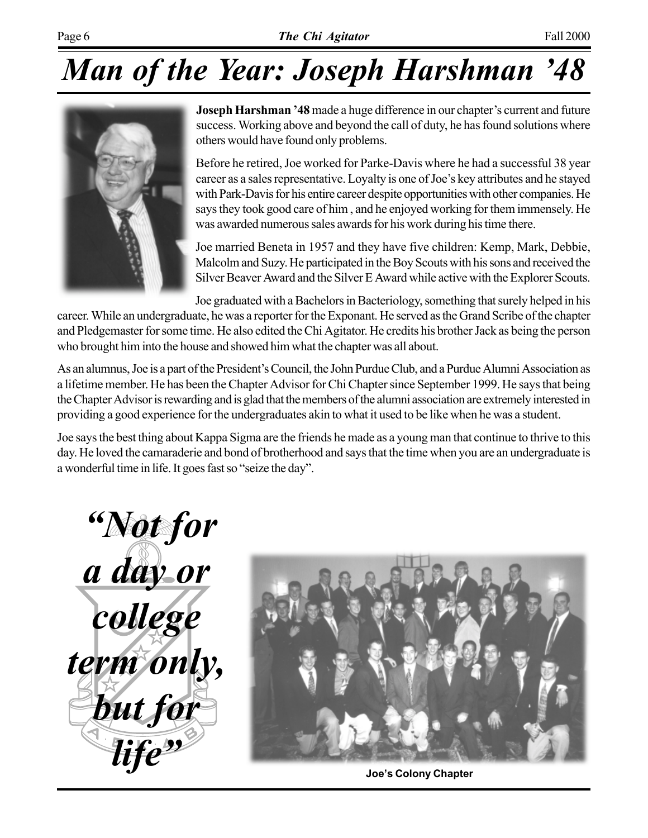# *Man of the Year: Joseph Harshman '48*



**Joseph Harshman '48** made a huge difference in our chapter's current and future success. Working above and beyond the call of duty, he has found solutions where others would have found only problems.

Before he retired, Joe worked for Parke-Davis where he had a successful 38 year career as a sales representative. Loyalty is one of Joe's key attributes and he stayed with Park-Davis for his entire career despite opportunities with other companies. He says they took good care of him , and he enjoyed working for them immensely. He was awarded numerous sales awards for his work during his time there.

Joe married Beneta in 1957 and they have five children: Kemp, Mark, Debbie, Malcolm and Suzy. He participated in the Boy Scouts with his sons and received the Silver Beaver Award and the Silver E Award while active with the Explorer Scouts.

Joe graduated with a Bachelors in Bacteriology, something that surely helped in his career. While an undergraduate, he was a reporter for the Exponant. He served as the Grand Scribe of the chapter and Pledgemaster for some time. He also edited the Chi Agitator. He credits his brother Jack as being the person who brought him into the house and showed him what the chapter was all about.

As an alumnus, Joe is a part of the President's Council, the John Purdue Club, and a Purdue Alumni Association as a lifetime member. He has been the Chapter Advisor for Chi Chapter since September 1999. He says that being the Chapter Advisor is rewarding and is glad that the members of the alumni association are extremely interested in providing a good experience for the undergraduates akin to what it used to be like when he was a student.

Joe says the best thing about Kappa Sigma are the friends he made as a young man that continue to thrive to this day. He loved the camaraderie and bond of brotherhood and says that the time when you are an undergraduate is a wonderful time in life. It goes fast so "seize the day".





**Joeís Colony Chapter**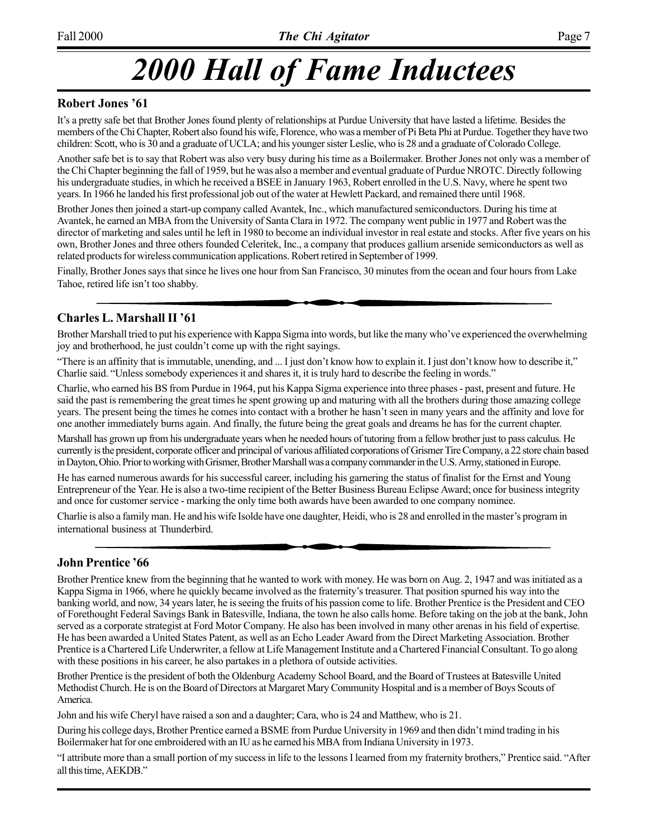## *2000 Hall of Fame Inductees*

#### **Robert Jones '61**

Itís a pretty safe bet that Brother Jones found plenty of relationships at Purdue University that have lasted a lifetime. Besides the members of the Chi Chapter, Robert also found his wife, Florence, who was a member of Pi Beta Phi at Purdue. Together they have two children: Scott, who is 30 and a graduate of UCLA; and his younger sister Leslie, who is 28 and a graduate of Colorado College.

Another safe bet is to say that Robert was also very busy during his time as a Boilermaker. Brother Jones not only was a member of the Chi Chapter beginning the fall of 1959, but he was also a member and eventual graduate of Purdue NROTC. Directly following his undergraduate studies, in which he received a BSEE in January 1963, Robert enrolled in the U.S. Navy, where he spent two years. In 1966 he landed his first professional job out of the water at Hewlett Packard, and remained there until 1968.

Brother Jones then joined a start-up company called Avantek, Inc., which manufactured semiconductors. During his time at Avantek, he earned an MBA from the University of Santa Clara in 1972. The company went public in 1977 and Robert was the director of marketing and sales until he left in 1980 to become an individual investor in real estate and stocks. After five years on his own, Brother Jones and three others founded Celeritek, Inc., a company that produces gallium arsenide semiconductors as well as related products for wireless communication applications. Robert retired in September of 1999.

Finally, Brother Jones says that since he lives one hour from San Francisco, 30 minutes from the ocean and four hours from Lake Tahoe, retired life isn't too shabby.

#### **Charles L. Marshall II** '61

Brother Marshall tried to put his experience with Kappa Sigma into words, but like the many who've experienced the overwhelming joy and brotherhood, he just couldn't come up with the right sayings.

"There is an affinity that is immutable, unending, and ... I just don't know how to explain it. I just don't know how to describe it," Charlie said. "Unless somebody experiences it and shares it, it is truly hard to describe the feeling in words."

Charlie, who earned his BS from Purdue in 1964, put his Kappa Sigma experience into three phases - past, present and future. He said the past is remembering the great times he spent growing up and maturing with all the brothers during those amazing college years. The present being the times he comes into contact with a brother he hasn't seen in many years and the affinity and love for one another immediately burns again. And finally, the future being the great goals and dreams he has for the current chapter.

Marshall has grown up from his undergraduate years when he needed hours of tutoring from a fellow brother just to pass calculus. He currently is the president, corporate officer and principal of various affiliated corporations of Grismer Tire Company, a 22 store chain based in Dayton, Ohio. Prior to working with Grismer, Brother Marshall was a company commander in the U.S. Army, stationed in Europe.

He has earned numerous awards for his successful career, including his garnering the status of finalist for the Ernst and Young Entrepreneur of the Year. He is also a two-time recipient of the Better Business Bureau Eclipse Award; once for business integrity and once for customer service - marking the only time both awards have been awarded to one company nominee.

Charlie is also a family man. He and his wife Isolde have one daughter, Heidi, who is 28 and enrolled in the master's program in international business at Thunderbird.

#### **John Prentice '66**

Brother Prentice knew from the beginning that he wanted to work with money. He was born on Aug. 2, 1947 and was initiated as a Kappa Sigma in 1966, where he quickly became involved as the fraternity's treasurer. That position spurned his way into the banking world, and now, 34 years later, he is seeing the fruits of his passion come to life. Brother Prentice is the President and CEO of Forethought Federal Savings Bank in Batesville, Indiana, the town he also calls home. Before taking on the job at the bank, John served as a corporate strategist at Ford Motor Company. He also has been involved in many other arenas in his field of expertise. He has been awarded a United States Patent, as well as an Echo Leader Award from the Direct Marketing Association. Brother Prentice is a Chartered Life Underwriter, a fellow at Life Management Institute and a Chartered Financial Consultant. To go along with these positions in his career, he also partakes in a plethora of outside activities.

Brother Prentice is the president of both the Oldenburg Academy School Board, and the Board of Trustees at Batesville United Methodist Church. He is on the Board of Directors at Margaret Mary Community Hospital and is a member of Boys Scouts of America.

John and his wife Cheryl have raised a son and a daughter; Cara, who is 24 and Matthew, who is 21.

During his college days, Brother Prentice earned a BSME from Purdue University in 1969 and then didnít mind trading in his Boilermaker hat for one embroidered with an IU as he earned his MBA from Indiana University in 1973.

E attribute more than a small portion of my success in life to the lessons I learned from my fraternity brothers," Prentice said. "After all this time, AEKDB."